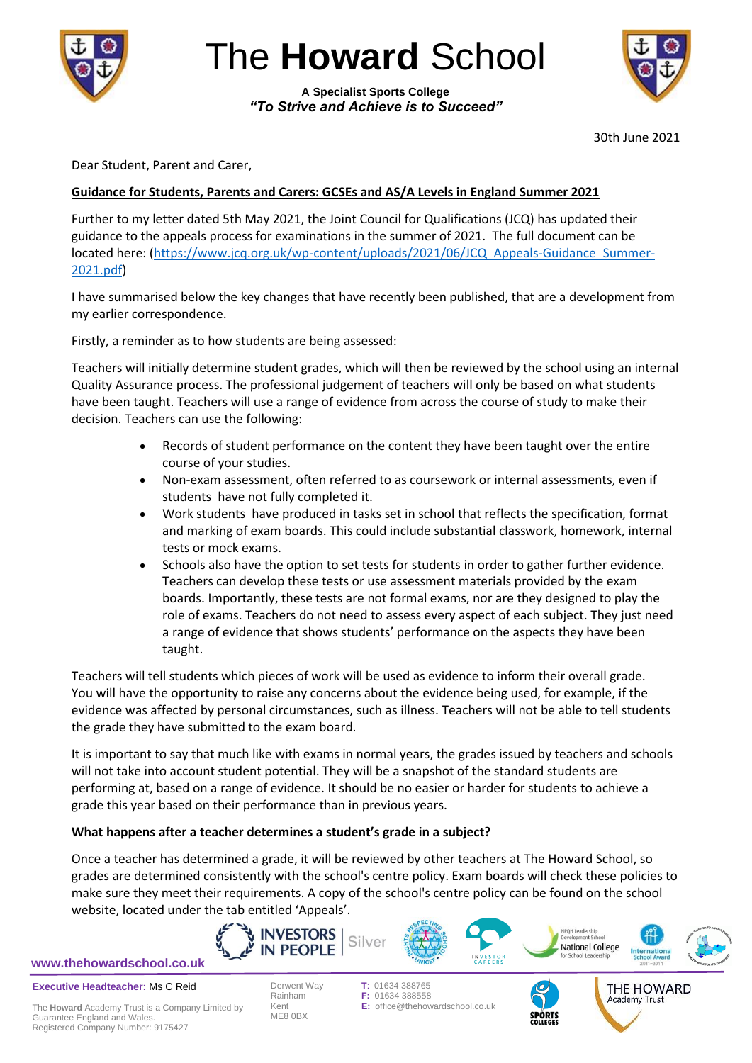

The **Howard** School

**A Specialist Sports College** *"To Strive and Achieve is to Succeed"*



30th June 2021

Dear Student, Parent and Carer,

# **Guidance for Students, Parents and Carers: GCSEs and AS/A Levels in England Summer 2021**

Further to my letter dated 5th May 2021, the Joint Council for Qualifications (JCQ) has updated their guidance to the appeals process for examinations in the summer of 2021. The full document can be located here: [\(https://www.jcq.org.uk/wp-content/uploads/2021/06/JCQ\\_Appeals-Guidance\\_Summer-](https://www.jcq.org.uk/wp-content/uploads/2021/06/JCQ_Appeals-Guidance_Summer-2021.pdf)[2021.pdf\)](https://www.jcq.org.uk/wp-content/uploads/2021/06/JCQ_Appeals-Guidance_Summer-2021.pdf)

I have summarised below the key changes that have recently been published, that are a development from my earlier correspondence.

Firstly, a reminder as to how students are being assessed:

Teachers will initially determine student grades, which will then be reviewed by the school using an internal Quality Assurance process. The professional judgement of teachers will only be based on what students have been taught. Teachers will use a range of evidence from across the course of study to make their decision. Teachers can use the following:

- Records of student performance on the content they have been taught over the entire course of your studies.
- Non-exam assessment, often referred to as coursework or internal assessments, even if students have not fully completed it.
- Work students have produced in tasks set in school that reflects the specification, format and marking of exam boards. This could include substantial classwork, homework, internal tests or mock exams.
- Schools also have the option to set tests for students in order to gather further evidence. Teachers can develop these tests or use assessment materials provided by the exam boards. Importantly, these tests are not formal exams, nor are they designed to play the role of exams. Teachers do not need to assess every aspect of each subject. They just need a range of evidence that shows students' performance on the aspects they have been taught.

Teachers will tell students which pieces of work will be used as evidence to inform their overall grade. You will have the opportunity to raise any concerns about the evidence being used, for example, if the evidence was affected by personal circumstances, such as illness. Teachers will not be able to tell students the grade they have submitted to the exam board.

It is important to say that much like with exams in normal years, the grades issued by teachers and schools will not take into account student potential. They will be a snapshot of the standard students are performing at, based on a range of evidence. It should be no easier or harder for students to achieve a grade this year based on their performance than in previous years.

# **What happens after a teacher determines a student's grade in a subject?**

Once a teacher has determined a grade, it will be reviewed by other teachers at The Howard School, so grades are determined consistently with the school's centre policy. Exam boards will check these policies to make sure they meet their requirements. A copy of the school's centre policy can be found on the school website, located under the tab entitled 'Appeals'.









THE HOWARD Academy Trust

**Executive Headteacher:** Ms C Reid

The **Howard** Academy Trust is a Company Limited by Guarantee England and Wales. Registered Company Number: 9175427

ME8 0BX

Derwent Way **T**: 01634 388765 Rainham **F:** 01634 388558<br>Kent **E:** office@thehov **E:** office@thehowardschool.co.uk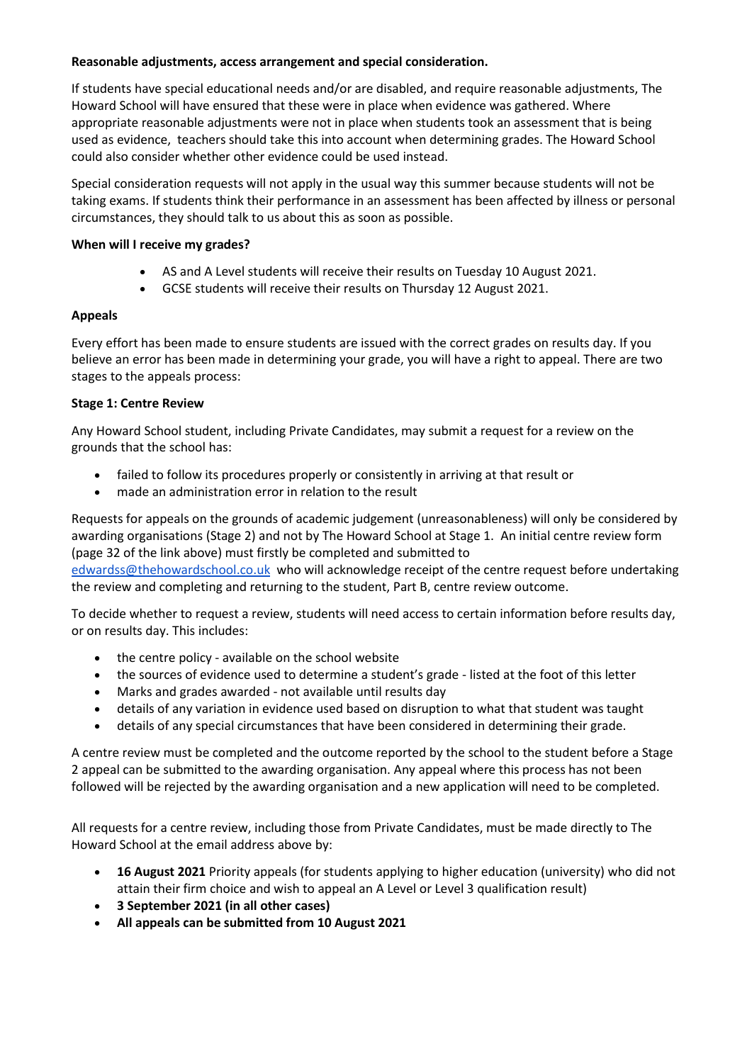#### **Reasonable adjustments, access arrangement and special consideration.**

If students have special educational needs and/or are disabled, and require reasonable adjustments, The Howard School will have ensured that these were in place when evidence was gathered. Where appropriate reasonable adjustments were not in place when students took an assessment that is being used as evidence, teachers should take this into account when determining grades. The Howard School could also consider whether other evidence could be used instead.

Special consideration requests will not apply in the usual way this summer because students will not be taking exams. If students think their performance in an assessment has been affected by illness or personal circumstances, they should talk to us about this as soon as possible.

#### **When will I receive my grades?**

- AS and A Level students will receive their results on Tuesday 10 August 2021.
- GCSE students will receive their results on Thursday 12 August 2021.

# **Appeals**

Every effort has been made to ensure students are issued with the correct grades on results day. If you believe an error has been made in determining your grade, you will have a right to appeal. There are two stages to the appeals process:

# **Stage 1: Centre Review**

Any Howard School student, including Private Candidates, may submit a request for a review on the grounds that the school has:

- failed to follow its procedures properly or consistently in arriving at that result or
- made an administration error in relation to the result

Requests for appeals on the grounds of academic judgement (unreasonableness) will only be considered by awarding organisations (Stage 2) and not by The Howard School at Stage 1. An initial centre review form (page 32 of the link above) must firstly be completed and submitted to

[edwardss@thehowardschool.co.uk](mailto:edwardss@thehowardschool.co.uk) who will acknowledge receipt of the centre request before undertaking the review and completing and returning to the student, Part B, centre review outcome.

To decide whether to request a review, students will need access to certain information before results day, or on results day. This includes:

- the centre policy available on the school website
- the sources of evidence used to determine a student's grade listed at the foot of this letter
- Marks and grades awarded not available until results day
- details of any variation in evidence used based on disruption to what that student was taught
- details of any special circumstances that have been considered in determining their grade.

A centre review must be completed and the outcome reported by the school to the student before a Stage 2 appeal can be submitted to the awarding organisation. Any appeal where this process has not been followed will be rejected by the awarding organisation and a new application will need to be completed.

All requests for a centre review, including those from Private Candidates, must be made directly to The Howard School at the email address above by:

- **16 August 2021** Priority appeals (for students applying to higher education (university) who did not attain their firm choice and wish to appeal an A Level or Level 3 qualification result)
- **3 September 2021 (in all other cases)**
- **All appeals can be submitted from 10 August 2021**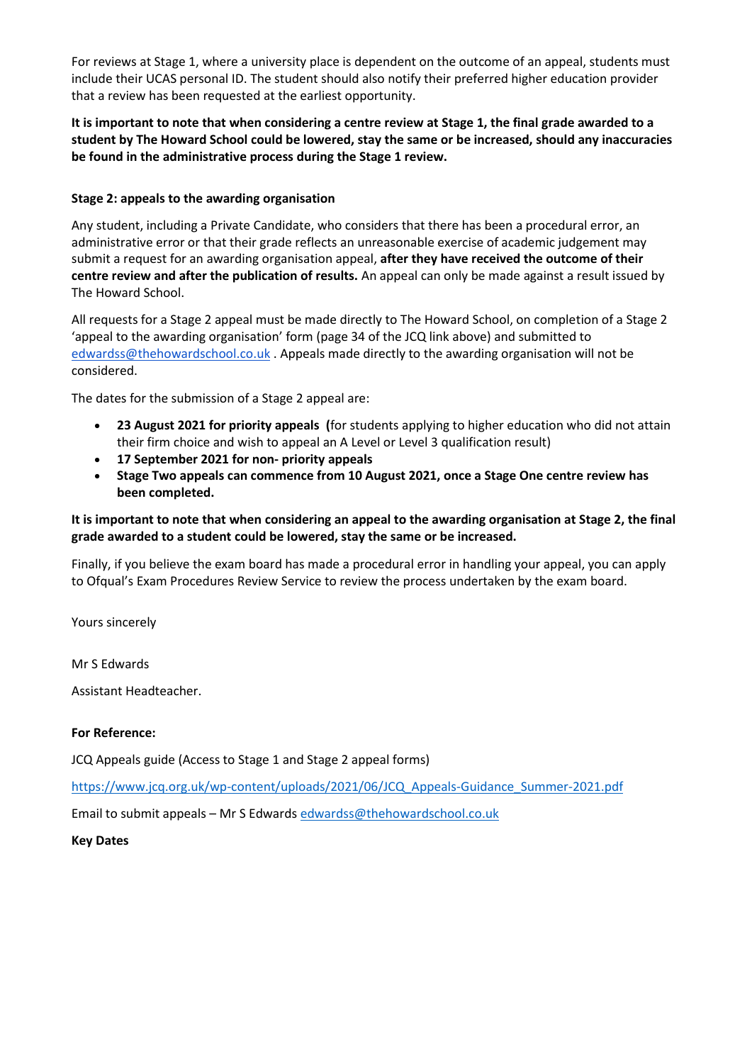For reviews at Stage 1, where a university place is dependent on the outcome of an appeal, students must include their UCAS personal ID. The student should also notify their preferred higher education provider that a review has been requested at the earliest opportunity.

**It is important to note that when considering a centre review at Stage 1, the final grade awarded to a student by The Howard School could be lowered, stay the same or be increased, should any inaccuracies be found in the administrative process during the Stage 1 review.**

#### **Stage 2: appeals to the awarding organisation**

Any student, including a Private Candidate, who considers that there has been a procedural error, an administrative error or that their grade reflects an unreasonable exercise of academic judgement may submit a request for an awarding organisation appeal, **after they have received the outcome of their centre review and after the publication of results.** An appeal can only be made against a result issued by The Howard School.

All requests for a Stage 2 appeal must be made directly to The Howard School, on completion of a Stage 2 'appeal to the awarding organisation' form (page 34 of the JCQ link above) and submitted to [edwardss@thehowardschool.co.uk](mailto:edwardss@thehowardschool.co.uk) . Appeals made directly to the awarding organisation will not be considered.

The dates for the submission of a Stage 2 appeal are:

- **23 August 2021 for priority appeals (**for students applying to higher education who did not attain their firm choice and wish to appeal an A Level or Level 3 qualification result)
- **17 September 2021 for non- priority appeals**
- **Stage Two appeals can commence from 10 August 2021, once a Stage One centre review has been completed.**

## **It is important to note that when considering an appeal to the awarding organisation at Stage 2, the final grade awarded to a student could be lowered, stay the same or be increased.**

Finally, if you believe the exam board has made a procedural error in handling your appeal, you can apply to Ofqual's Exam Procedures Review Service to review the process undertaken by the exam board.

Yours sincerely

Mr S Edwards

Assistant Headteacher.

#### **For Reference:**

JCQ Appeals guide (Access to Stage 1 and Stage 2 appeal forms)

[https://www.jcq.org.uk/wp-content/uploads/2021/06/JCQ\\_Appeals-Guidance\\_Summer-2021.pdf](https://www.jcq.org.uk/wp-content/uploads/2021/06/JCQ_Appeals-Guidance_Summer-2021.pdf)

Email to submit appeals – Mr S Edwards [edwardss@thehowardschool.co.uk](mailto:edwardss@thehowardschool.co.uk)

#### **Key Dates**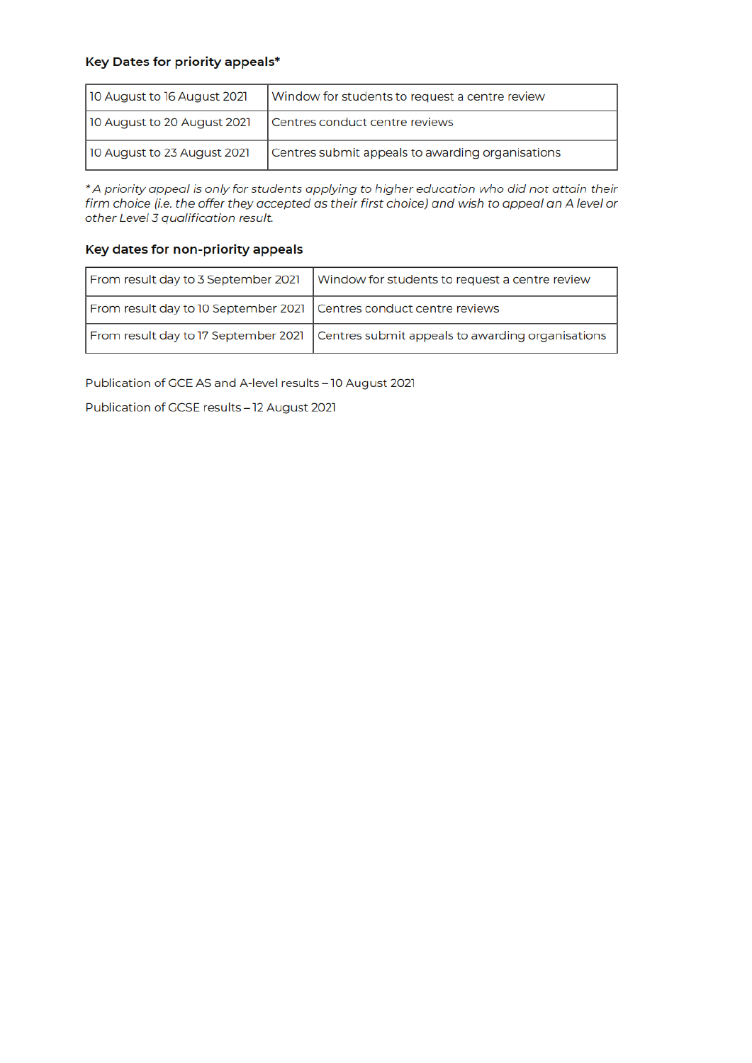# Key Dates for priority appeals\*

| 10 August to 16 August 2021 | Window for students to request a centre review   |
|-----------------------------|--------------------------------------------------|
| 10 August to 20 August 2021 | Centres conduct centre reviews                   |
| 10 August to 23 August 2021 | Centres submit appeals to awarding organisations |

\* A priority appeal is only for students applying to higher education who did not attain their firm choice (i.e. the offer they accepted as their first choice) and wish to appeal an A level or other Level 3 qualification result.

#### Key dates for non-priority appeals

|                                                                     | From result day to 3 September 2021   Window for students to request a centre review  |
|---------------------------------------------------------------------|---------------------------------------------------------------------------------------|
| From result day to 10 September 2021 Centres conduct centre reviews |                                                                                       |
|                                                                     | From result day to 17 September 2021 Centres submit appeals to awarding organisations |

Publication of GCE AS and A-level results - 10 August 2021

Publication of GCSE results - 12 August 2021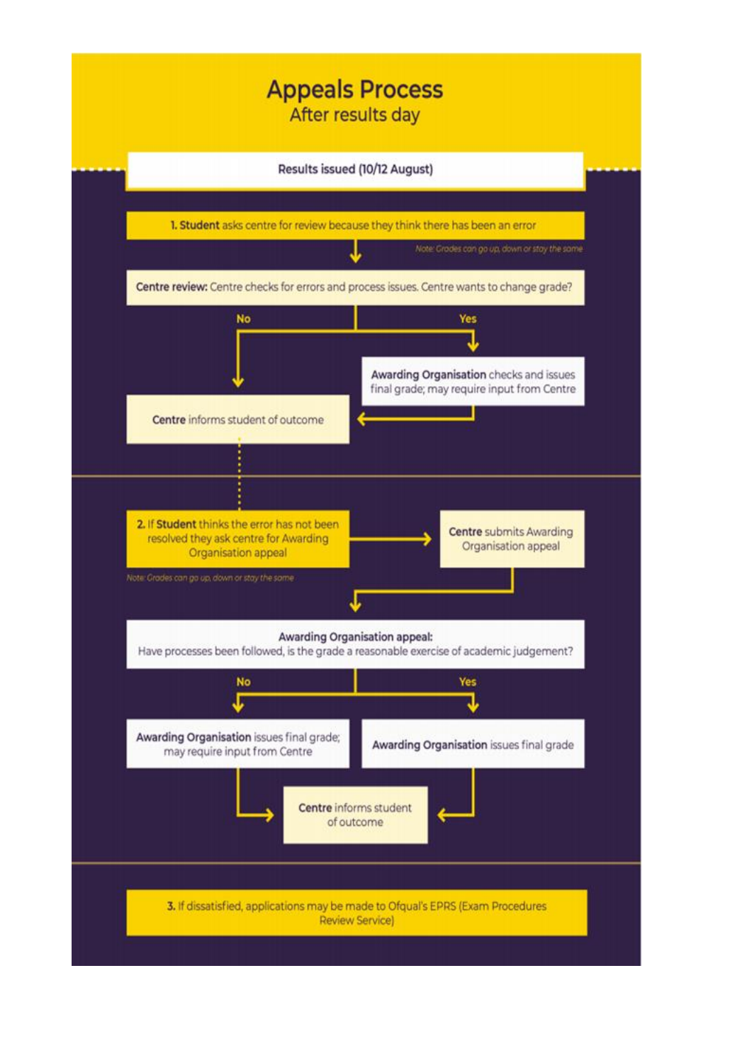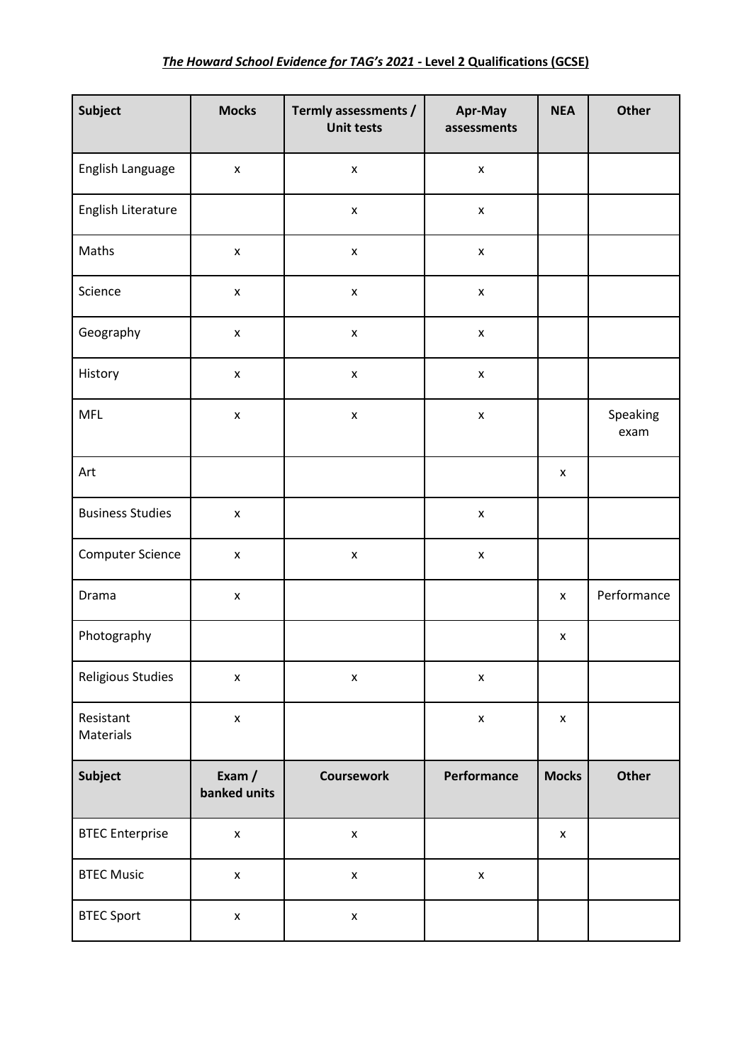| Subject                 | <b>Mocks</b>           | Termly assessments /<br><b>Unit tests</b> | Apr-May<br>assessments | <b>NEA</b>         | Other            |
|-------------------------|------------------------|-------------------------------------------|------------------------|--------------------|------------------|
| English Language        | $\pmb{\times}$         | $\pmb{\mathsf{x}}$                        | $\pmb{\mathsf{x}}$     |                    |                  |
| English Literature      |                        | $\pmb{\mathsf{X}}$                        | $\pmb{\mathsf{x}}$     |                    |                  |
| Maths                   | $\pmb{\mathsf{X}}$     | $\pmb{\mathsf{x}}$                        | $\pmb{\mathsf{x}}$     |                    |                  |
| Science                 | $\pmb{\times}$         | $\pmb{\mathsf{x}}$                        | $\pmb{\mathsf{x}}$     |                    |                  |
| Geography               | $\pmb{\mathsf{x}}$     | $\pmb{\mathsf{X}}$                        | $\pmb{\mathsf{x}}$     |                    |                  |
| History                 | $\pmb{\times}$         | $\pmb{\mathsf{X}}$                        | $\pmb{\mathsf{x}}$     |                    |                  |
| <b>MFL</b>              | $\pmb{\times}$         | $\pmb{\mathsf{X}}$                        | $\pmb{\mathsf{X}}$     |                    | Speaking<br>exam |
| Art                     |                        |                                           |                        | X                  |                  |
| <b>Business Studies</b> | $\pmb{\mathsf{x}}$     |                                           | $\pmb{\mathsf{x}}$     |                    |                  |
| Computer Science        | $\pmb{\mathsf{x}}$     | $\pmb{\mathsf{x}}$                        | $\pmb{\mathsf{x}}$     |                    |                  |
| Drama                   | $\pmb{\mathsf{x}}$     |                                           |                        | X                  | Performance      |
| Photography             |                        |                                           |                        | $\pmb{\mathsf{x}}$ |                  |
| Religious Studies       | $\pmb{\mathsf{x}}$     | $\pmb{\mathsf{x}}$                        | $\pmb{\times}$         |                    |                  |
| Resistant<br>Materials  | $\pmb{\mathsf{x}}$     |                                           | $\pmb{\mathsf{x}}$     | $\pmb{\mathsf{x}}$ |                  |
| Subject                 | Exam /<br>banked units | <b>Coursework</b>                         | Performance            | <b>Mocks</b>       | <b>Other</b>     |
| <b>BTEC Enterprise</b>  | $\pmb{\mathsf{X}}$     | $\pmb{\mathsf{x}}$                        |                        | X                  |                  |
| <b>BTEC Music</b>       | $\pmb{\mathsf{x}}$     | $\pmb{\mathsf{X}}$                        | $\pmb{\mathsf{X}}$     |                    |                  |
| <b>BTEC Sport</b>       | $\pmb{\mathsf{x}}$     | $\pmb{\mathsf{X}}$                        |                        |                    |                  |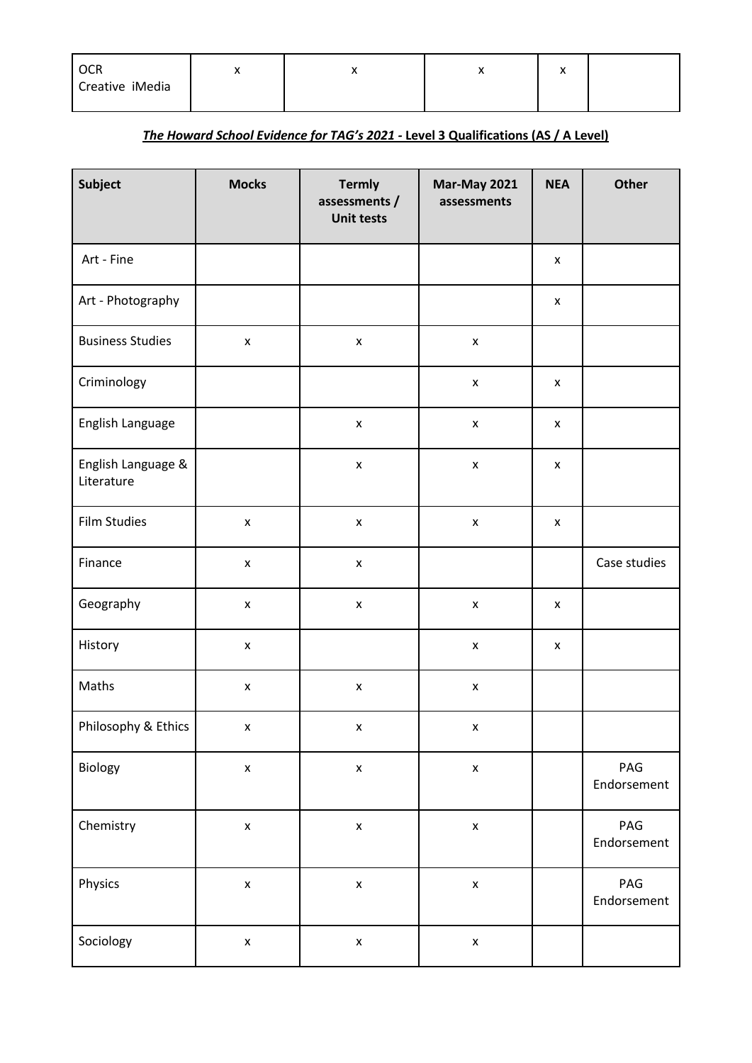| <b>OCR</b>      | ,, | $\cdots$ | ◠ |  |
|-----------------|----|----------|---|--|
| Creative iMedia |    |          |   |  |

# *The Howard School Evidence for TAG's 2021 -* **Level 3 Qualifications (AS / A Level)**

| Subject                          | <b>Mocks</b>       | <b>Termly</b><br>assessments /<br><b>Unit tests</b> | Mar-May 2021<br>assessments | <b>NEA</b>         | Other              |
|----------------------------------|--------------------|-----------------------------------------------------|-----------------------------|--------------------|--------------------|
| Art - Fine                       |                    |                                                     |                             | $\pmb{\mathsf{x}}$ |                    |
| Art - Photography                |                    |                                                     |                             | $\pmb{\mathsf{X}}$ |                    |
| <b>Business Studies</b>          | $\pmb{\mathsf{x}}$ | $\pmb{\mathsf{X}}$                                  | $\pmb{\mathsf{X}}$          |                    |                    |
| Criminology                      |                    |                                                     | $\pmb{\mathsf{x}}$          | X                  |                    |
| English Language                 |                    | $\pmb{\mathsf{x}}$                                  | $\pmb{\mathsf{x}}$          | X                  |                    |
| English Language &<br>Literature |                    | $\pmb{\mathsf{X}}$                                  | $\pmb{\mathsf{X}}$          | $\pmb{\mathsf{x}}$ |                    |
| <b>Film Studies</b>              | $\pmb{\mathsf{x}}$ | $\pmb{\mathsf{X}}$                                  | $\pmb{\mathsf{x}}$          | X                  |                    |
| Finance                          | $\pmb{\mathsf{X}}$ | $\pmb{\times}$                                      |                             |                    | Case studies       |
| Geography                        | $\pmb{\mathsf{X}}$ | $\pmb{\mathsf{X}}$                                  | $\pmb{\mathsf{x}}$          | $\pmb{\mathsf{x}}$ |                    |
| History                          | $\pmb{\mathsf{x}}$ |                                                     | $\pmb{\mathsf{x}}$          | $\pmb{\mathsf{X}}$ |                    |
| Maths                            | $\pmb{\mathsf{X}}$ | $\pmb{\mathsf{x}}$                                  | $\pmb{\mathsf{x}}$          |                    |                    |
| Philosophy & Ethics              | $\pmb{\mathsf{x}}$ | $\pmb{\mathsf{X}}$                                  | $\pmb{\mathsf{X}}$          |                    |                    |
| Biology                          | $\pmb{\mathsf{X}}$ | $\pmb{\mathsf{x}}$                                  | $\pmb{\mathsf{X}}$          |                    | PAG<br>Endorsement |
| Chemistry                        | $\pmb{\mathsf{X}}$ | $\pmb{\mathsf{X}}$                                  | $\pmb{\mathsf{x}}$          |                    | PAG<br>Endorsement |
| Physics                          | $\pmb{\mathsf{X}}$ | $\pmb{\mathsf{X}}$                                  | $\pmb{\mathsf{X}}$          |                    | PAG<br>Endorsement |
| Sociology                        | $\pmb{\mathsf{X}}$ | $\pmb{\mathsf{x}}$                                  | $\pmb{\mathsf{X}}$          |                    |                    |